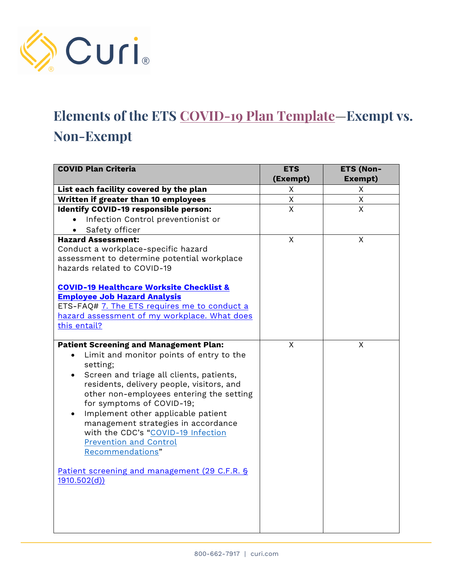

## **Elements of the ETS [COVID-19 Plan Template](https://www.osha.gov/sites/default/files/COVID-19_Healthcare_ETS_Model_Written_Plan.docx)**—**Exempt vs. Non-Exempt**

| <b>COVID Plan Criteria</b>                          | <b>ETS</b>     | <b>ETS (Non-</b> |
|-----------------------------------------------------|----------------|------------------|
|                                                     | (Exempt)       | Exempt)          |
| List each facility covered by the plan              | Χ              | X                |
| Written if greater than 10 employees                | Χ              | X                |
| <b>Identify COVID-19 responsible person:</b>        | $\overline{X}$ | $\overline{X}$   |
| Infection Control preventionist or                  |                |                  |
| Safety officer                                      |                |                  |
| <b>Hazard Assessment:</b>                           | X              | X                |
| Conduct a workplace-specific hazard                 |                |                  |
| assessment to determine potential workplace         |                |                  |
| hazards related to COVID-19                         |                |                  |
|                                                     |                |                  |
| <b>COVID-19 Healthcare Worksite Checklist &amp;</b> |                |                  |
| <b>Employee Job Hazard Analysis</b>                 |                |                  |
| ETS-FAQ# 7. The ETS requires me to conduct a        |                |                  |
| hazard assessment of my workplace. What does        |                |                  |
| this entail?                                        |                |                  |
| <b>Patient Screening and Management Plan:</b>       | $\mathsf{x}$   | X                |
| Limit and monitor points of entry to the            |                |                  |
| setting;                                            |                |                  |
| Screen and triage all clients, patients,            |                |                  |
| residents, delivery people, visitors, and           |                |                  |
| other non-employees entering the setting            |                |                  |
| for symptoms of COVID-19;                           |                |                  |
| Implement other applicable patient<br>$\bullet$     |                |                  |
| management strategies in accordance                 |                |                  |
| with the CDC's "COVID-19 Infection                  |                |                  |
| <b>Prevention and Control</b>                       |                |                  |
| Recommendations"                                    |                |                  |
|                                                     |                |                  |
| Patient screening and management (29 C.F.R. §       |                |                  |
| 1910.502(d))                                        |                |                  |
|                                                     |                |                  |
|                                                     |                |                  |
|                                                     |                |                  |
|                                                     |                |                  |
|                                                     |                |                  |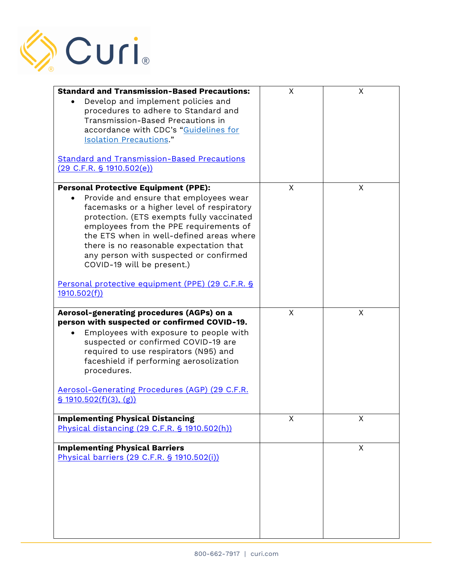

| <b>Standard and Transmission-Based Precautions:</b><br>Develop and implement policies and<br>procedures to adhere to Standard and<br>Transmission-Based Precautions in<br>accordance with CDC's "Guidelines for<br><b>Isolation Precautions."</b><br><b>Standard and Transmission-Based Precautions</b><br>(29 C.F.R. § 1910.502(e))                                                                                                                         | X | X |
|--------------------------------------------------------------------------------------------------------------------------------------------------------------------------------------------------------------------------------------------------------------------------------------------------------------------------------------------------------------------------------------------------------------------------------------------------------------|---|---|
| <b>Personal Protective Equipment (PPE):</b><br>Provide and ensure that employees wear<br>facemasks or a higher level of respiratory<br>protection. (ETS exempts fully vaccinated<br>employees from the PPE requirements of<br>the ETS when in well-defined areas where<br>there is no reasonable expectation that<br>any person with suspected or confirmed<br>COVID-19 will be present.)<br>Personal protective equipment (PPE) (29 C.F.R. §<br>1910.502(f) | X | X |
| Aerosol-generating procedures (AGPs) on a<br>person with suspected or confirmed COVID-19.<br>Employees with exposure to people with<br>suspected or confirmed COVID-19 are<br>required to use respirators (N95) and<br>faceshield if performing aerosolization<br>procedures.<br>Aerosol-Generating Procedures (AGP) (29 C.F.R.<br>$\frac{1}{5}$ 1910.502(f)(3), (g))                                                                                        | X | X |
| <b>Implementing Physical Distancing</b><br>Physical distancing (29 C.F.R. § 1910.502(h))                                                                                                                                                                                                                                                                                                                                                                     | X | X |
| <b>Implementing Physical Barriers</b><br>Physical barriers (29 C.F.R. § 1910.502(i))                                                                                                                                                                                                                                                                                                                                                                         |   | X |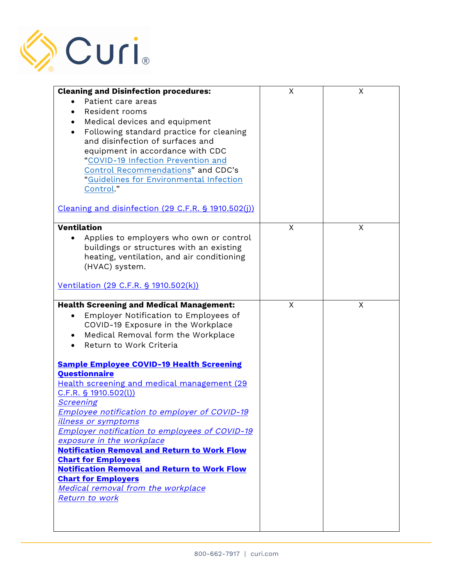

| <b>Cleaning and Disinfection procedures:</b>                        | X | X |
|---------------------------------------------------------------------|---|---|
| Patient care areas                                                  |   |   |
| Resident rooms                                                      |   |   |
| Medical devices and equipment                                       |   |   |
| Following standard practice for cleaning                            |   |   |
| and disinfection of surfaces and                                    |   |   |
| equipment in accordance with CDC                                    |   |   |
| "COVID-19 Infection Prevention and                                  |   |   |
| Control Recommendations" and CDC's                                  |   |   |
| "Guidelines for Environmental Infection                             |   |   |
| Control."                                                           |   |   |
| Cleaning and disinfection (29 C.F.R. § 1910.502(j))                 |   |   |
| <b>Ventilation</b>                                                  | X | X |
| Applies to employers who own or control                             |   |   |
| buildings or structures with an existing                            |   |   |
| heating, ventilation, and air conditioning                          |   |   |
| (HVAC) system.                                                      |   |   |
|                                                                     |   |   |
| Ventilation (29 C.F.R. § 1910.502(k))                               |   |   |
| <b>Health Screening and Medical Management:</b>                     | X | X |
| Employer Notification to Employees of                               |   |   |
| COVID-19 Exposure in the Workplace                                  |   |   |
| Medical Removal form the Workplace                                  |   |   |
| Return to Work Criteria                                             |   |   |
|                                                                     |   |   |
| <b>Sample Employee COVID-19 Health Screening</b>                    |   |   |
| <b>Questionnaire</b><br>Health screening and medical management (29 |   |   |
| $C.F.R.$ § 1910.502(l))                                             |   |   |
| <b>Screening</b>                                                    |   |   |
| Employee notification to employer of COVID-19                       |   |   |
| <u>illness or symptoms</u>                                          |   |   |
| Employer notification to employees of COVID-19                      |   |   |
| exposure in the workplace                                           |   |   |
| <b>Notification Removal and Return to Work Flow</b>                 |   |   |
| <b>Chart for Employees</b>                                          |   |   |
| <b>Notification Removal and Return to Work Flow</b>                 |   |   |
| <b>Chart for Employers</b>                                          |   |   |
| <b>Medical removal from the workplace</b>                           |   |   |
| Return to work                                                      |   |   |
|                                                                     |   |   |
|                                                                     |   |   |
|                                                                     |   |   |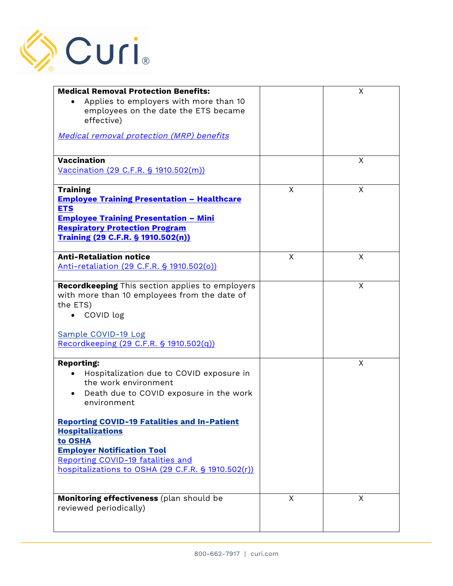

| <b>Medical Removal Protection Benefits:</b>                                    |   | X |
|--------------------------------------------------------------------------------|---|---|
| Applies to employers with more than 10<br>employees on the date the ETS became |   |   |
| effective)                                                                     |   |   |
| <b>Medical removal protection (MRP) benefits</b>                               |   |   |
| Vaccination                                                                    |   | X |
| Vaccination (29 C.F.R. § 1910.502(m))                                          |   |   |
| <b>Training</b>                                                                | X | X |
| <b>Employee Training Presentation - Healthcare</b><br><b>ETS</b>               |   |   |
| <b>Employee Training Presentation - Mini</b>                                   |   |   |
| <b>Respiratory Protection Program</b>                                          |   |   |
| Training (29 C.F.R. § 1910.502(n))                                             |   |   |
| <b>Anti-Retaliation notice</b>                                                 | X | X |
| Anti-retaliation (29 C.F.R. § 1910.502(o))                                     |   |   |
| Recordkeeping This section applies to employers                                |   | X |
| with more than 10 employees from the date of                                   |   |   |
| the ETS)<br>COVID log                                                          |   |   |
|                                                                                |   |   |
| Sample COVID-19 Log                                                            |   |   |
| Recordkeeping (29 C.F.R. § 1910.502(q))                                        |   |   |
| <b>Reporting:</b>                                                              |   | X |
| Hospitalization due to COVID exposure in<br>the work environment               |   |   |
| Death due to COVID exposure in the work<br>environment                         |   |   |
| <b>Reporting COVID-19 Fatalities and In-Patient</b><br><b>Hospitalizations</b> |   |   |
| to OSHA                                                                        |   |   |
| <b>Employer Notification Tool</b>                                              |   |   |
| Reporting COVID-19 fatalities and                                              |   |   |
| hospitalizations to OSHA (29 C.F.R. § 1910.502(r))                             |   |   |
| Monitoring effectiveness (plan should be<br>reviewed periodically)             | X | X |
|                                                                                |   |   |